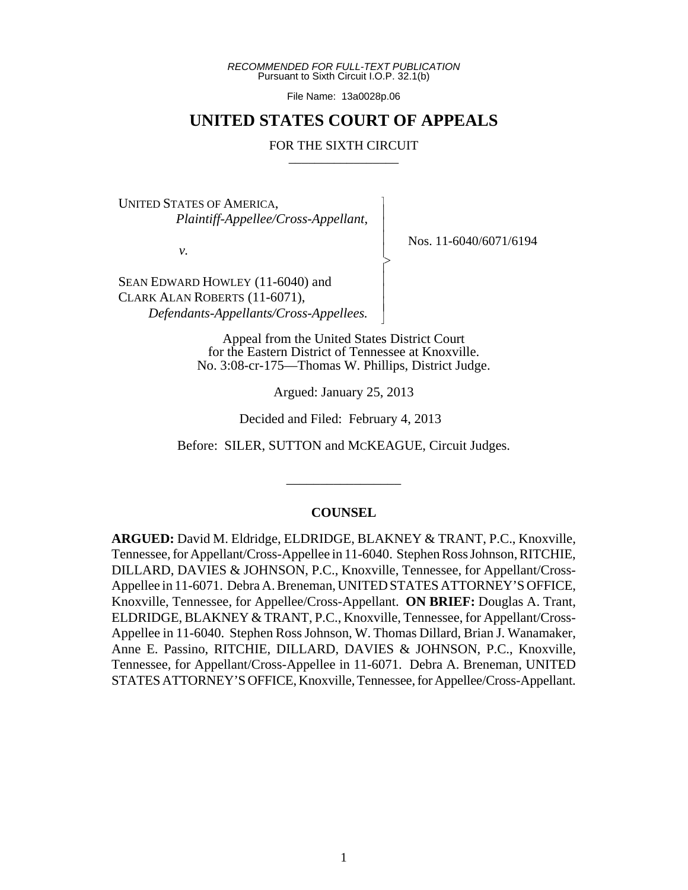*RECOMMENDED FOR FULL-TEXT PUBLICATION* Pursuant to Sixth Circuit I.O.P. 32.1(b)

File Name: 13a0028p.06

## **UNITED STATES COURT OF APPEALS**

#### FOR THE SIXTH CIRCUIT

 $\overline{\phantom{a}}$ - - - > , - - - N

UNITED STATES OF AMERICA, *Plaintiff-Appellee/Cross-Appellant*,

*v.*

Nos. 11-6040/6071/6194

SEAN EDWARD HOWLEY (11-6040) and CLARK ALAN ROBERTS (11-6071),  *Defendants-Appellants/Cross-Appellees.*

> Appeal from the United States District Court for the Eastern District of Tennessee at Knoxville. No. 3:08-cr-175—Thomas W. Phillips, District Judge.

> > Argued: January 25, 2013

Decided and Filed: February 4, 2013

Before: SILER, SUTTON and MCKEAGUE, Circuit Judges.

\_\_\_\_\_\_\_\_\_\_\_\_\_\_\_\_\_

## **COUNSEL**

**ARGUED:** David M. Eldridge, ELDRIDGE, BLAKNEY & TRANT, P.C., Knoxville, Tennessee, for Appellant/Cross-Appellee in 11-6040. Stephen Ross Johnson, RITCHIE, DILLARD, DAVIES & JOHNSON, P.C., Knoxville, Tennessee, for Appellant/Cross-Appellee in 11-6071. Debra A. Breneman, UNITED STATES ATTORNEY'S OFFICE, Knoxville, Tennessee, for Appellee/Cross-Appellant. **ON BRIEF:** Douglas A. Trant, ELDRIDGE, BLAKNEY & TRANT, P.C., Knoxville, Tennessee, for Appellant/Cross-Appellee in 11-6040. Stephen Ross Johnson, W. Thomas Dillard, Brian J. Wanamaker, Anne E. Passino, RITCHIE, DILLARD, DAVIES & JOHNSON, P.C., Knoxville, Tennessee, for Appellant/Cross-Appellee in 11-6071. Debra A. Breneman, UNITED STATES ATTORNEY'S OFFICE, Knoxville, Tennessee, for Appellee/Cross-Appellant.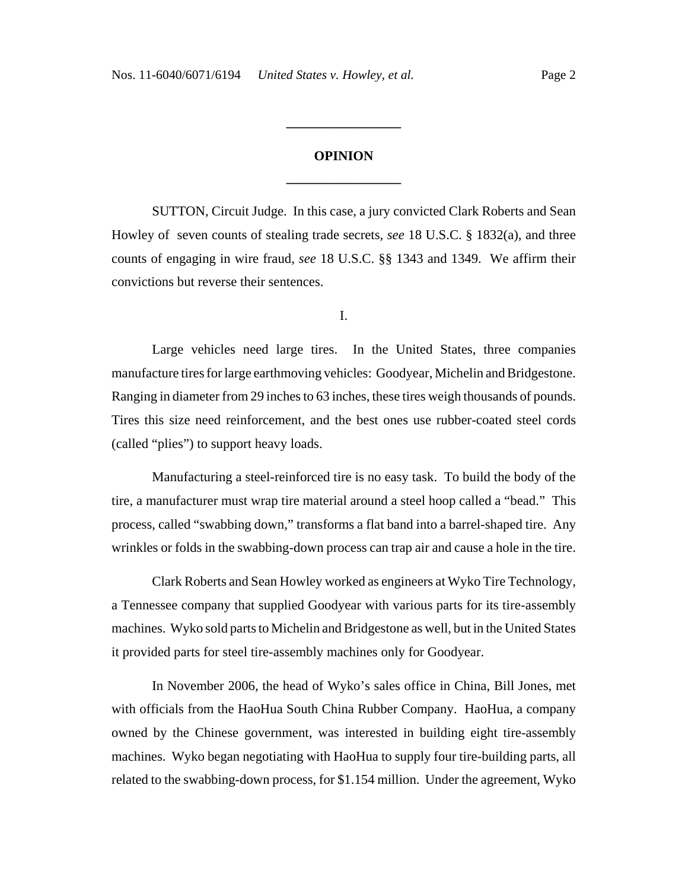# **OPINION \_\_\_\_\_\_\_\_\_\_\_\_\_\_\_\_\_**

**\_\_\_\_\_\_\_\_\_\_\_\_\_\_\_\_\_**

SUTTON, Circuit Judge. In this case, a jury convicted Clark Roberts and Sean Howley of seven counts of stealing trade secrets, *see* 18 U.S.C. § 1832(a), and three counts of engaging in wire fraud, *see* 18 U.S.C. §§ 1343 and 1349. We affirm their convictions but reverse their sentences.

I.

Large vehicles need large tires. In the United States, three companies manufacture tires for large earthmoving vehicles: Goodyear, Michelin and Bridgestone. Ranging in diameter from 29 inches to 63 inches, these tires weigh thousands of pounds. Tires this size need reinforcement, and the best ones use rubber-coated steel cords (called "plies") to support heavy loads.

Manufacturing a steel-reinforced tire is no easy task. To build the body of the tire, a manufacturer must wrap tire material around a steel hoop called a "bead." This process, called "swabbing down," transforms a flat band into a barrel-shaped tire. Any wrinkles or folds in the swabbing-down process can trap air and cause a hole in the tire.

Clark Roberts and Sean Howley worked as engineers at Wyko Tire Technology, a Tennessee company that supplied Goodyear with various parts for its tire-assembly machines. Wyko sold parts to Michelin and Bridgestone as well, but in the United States it provided parts for steel tire-assembly machines only for Goodyear.

In November 2006, the head of Wyko's sales office in China, Bill Jones, met with officials from the HaoHua South China Rubber Company. HaoHua, a company owned by the Chinese government, was interested in building eight tire-assembly machines. Wyko began negotiating with HaoHua to supply four tire-building parts, all related to the swabbing-down process, for \$1.154 million. Under the agreement, Wyko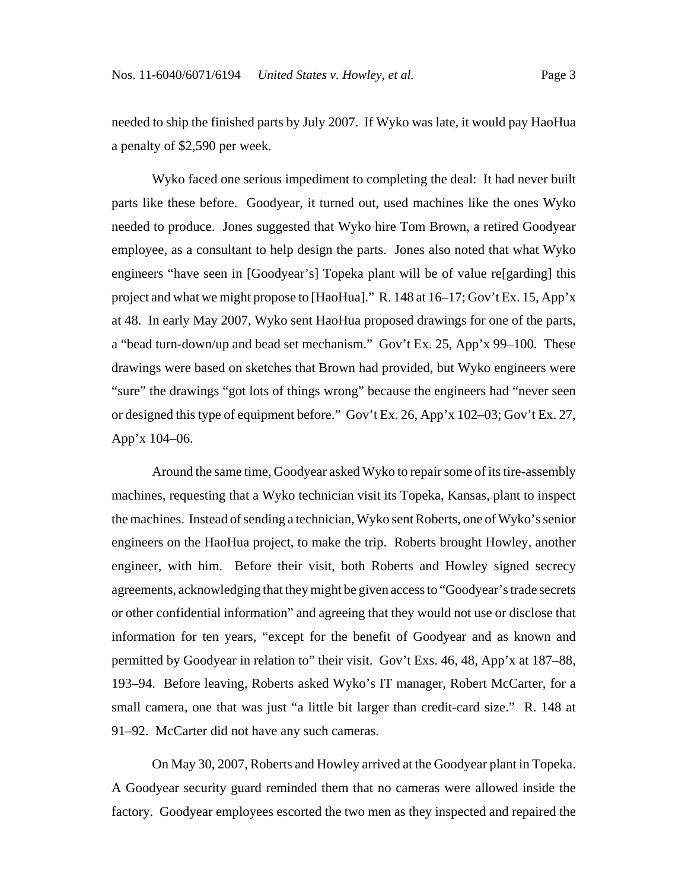needed to ship the finished parts by July 2007. If Wyko was late, it would pay HaoHua a penalty of \$2,590 per week.

Wyko faced one serious impediment to completing the deal: It had never built parts like these before. Goodyear, it turned out, used machines like the ones Wyko needed to produce. Jones suggested that Wyko hire Tom Brown, a retired Goodyear employee, as a consultant to help design the parts. Jones also noted that what Wyko engineers "have seen in [Goodyear's] Topeka plant will be of value re[garding] this project and what we might propose to [HaoHua]." R. 148 at 16–17; Gov't Ex. 15, App'x at 48. In early May 2007, Wyko sent HaoHua proposed drawings for one of the parts, a "bead turn-down/up and bead set mechanism." Gov't Ex. 25, App'x 99–100. These drawings were based on sketches that Brown had provided, but Wyko engineers were "sure" the drawings "got lots of things wrong" because the engineers had "never seen or designed this type of equipment before." Gov't Ex. 26, App'x 102–03; Gov't Ex. 27, App'x 104–06.

Around the same time, Goodyear asked Wyko to repair some of its tire-assembly machines, requesting that a Wyko technician visit its Topeka, Kansas, plant to inspect the machines. Instead of sending a technician, Wyko sent Roberts, one of Wyko's senior engineers on the HaoHua project, to make the trip. Roberts brought Howley, another engineer, with him. Before their visit, both Roberts and Howley signed secrecy agreements, acknowledging that they might be given access to "Goodyear's trade secrets or other confidential information" and agreeing that they would not use or disclose that information for ten years, "except for the benefit of Goodyear and as known and permitted by Goodyear in relation to" their visit. Gov't Exs. 46, 48, App'x at 187–88, 193–94. Before leaving, Roberts asked Wyko's IT manager, Robert McCarter, for a small camera, one that was just "a little bit larger than credit-card size." R. 148 at 91–92. McCarter did not have any such cameras.

On May 30, 2007, Roberts and Howley arrived at the Goodyear plant in Topeka. A Goodyear security guard reminded them that no cameras were allowed inside the factory. Goodyear employees escorted the two men as they inspected and repaired the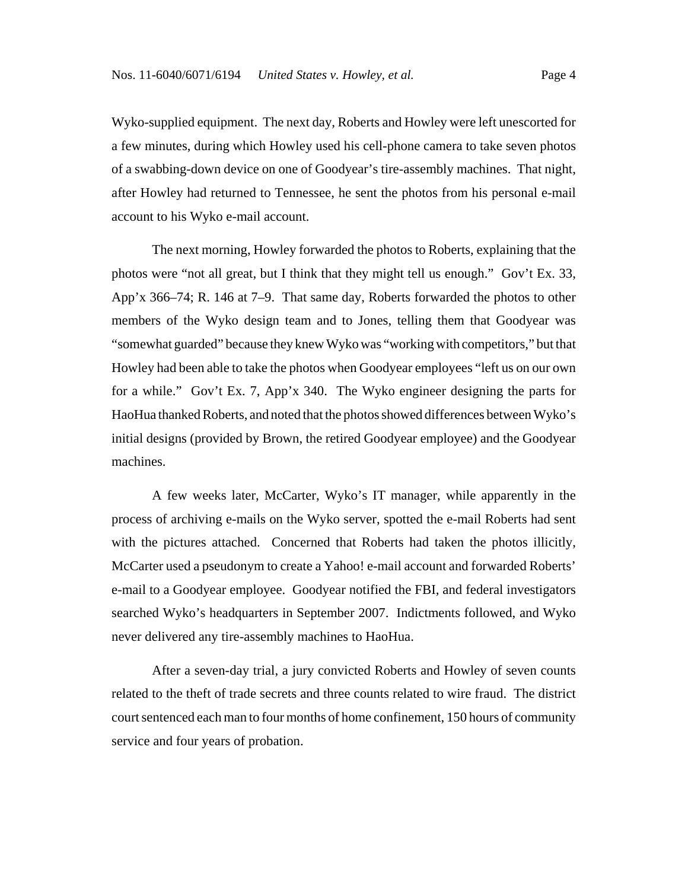Wyko-supplied equipment. The next day, Roberts and Howley were left unescorted for a few minutes, during which Howley used his cell-phone camera to take seven photos of a swabbing-down device on one of Goodyear's tire-assembly machines. That night, after Howley had returned to Tennessee, he sent the photos from his personal e-mail account to his Wyko e-mail account.

The next morning, Howley forwarded the photos to Roberts, explaining that the photos were "not all great, but I think that they might tell us enough." Gov't Ex. 33, App'x 366–74; R. 146 at 7–9. That same day, Roberts forwarded the photos to other members of the Wyko design team and to Jones, telling them that Goodyear was "somewhat guarded" because they knew Wyko was "working with competitors," but that Howley had been able to take the photos when Goodyear employees "left us on our own for a while." Gov't Ex. 7, App'x 340. The Wyko engineer designing the parts for HaoHua thanked Roberts, and noted that the photos showed differences between Wyko's initial designs (provided by Brown, the retired Goodyear employee) and the Goodyear machines.

A few weeks later, McCarter, Wyko's IT manager, while apparently in the process of archiving e-mails on the Wyko server, spotted the e-mail Roberts had sent with the pictures attached. Concerned that Roberts had taken the photos illicitly, McCarter used a pseudonym to create a Yahoo! e-mail account and forwarded Roberts' e-mail to a Goodyear employee. Goodyear notified the FBI, and federal investigators searched Wyko's headquarters in September 2007. Indictments followed, and Wyko never delivered any tire-assembly machines to HaoHua.

After a seven-day trial, a jury convicted Roberts and Howley of seven counts related to the theft of trade secrets and three counts related to wire fraud. The district court sentenced each man to four months of home confinement, 150 hours of community service and four years of probation.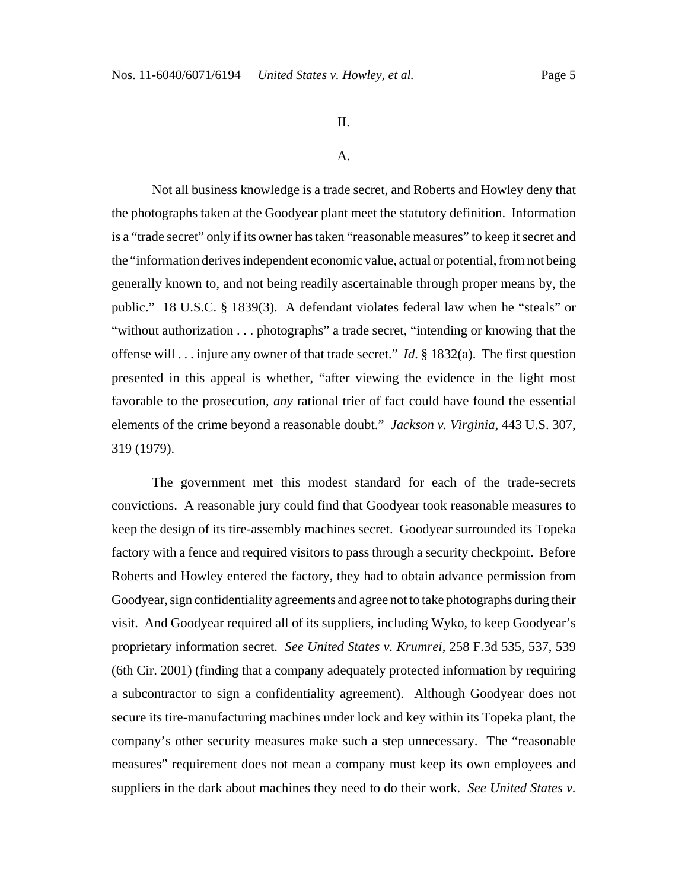## II.

#### A.

Not all business knowledge is a trade secret, and Roberts and Howley deny that the photographs taken at the Goodyear plant meet the statutory definition. Information is a "trade secret" only if its owner has taken "reasonable measures" to keep it secret and the "information derives independent economic value, actual or potential, from not being generally known to, and not being readily ascertainable through proper means by, the public." 18 U.S.C. § 1839(3). A defendant violates federal law when he "steals" or "without authorization . . . photographs" a trade secret, "intending or knowing that the offense will . . . injure any owner of that trade secret." *Id*. § 1832(a). The first question presented in this appeal is whether, "after viewing the evidence in the light most favorable to the prosecution, *any* rational trier of fact could have found the essential elements of the crime beyond a reasonable doubt." *Jackson v. Virginia*, 443 U.S. 307, 319 (1979).

The government met this modest standard for each of the trade-secrets convictions. A reasonable jury could find that Goodyear took reasonable measures to keep the design of its tire-assembly machines secret. Goodyear surrounded its Topeka factory with a fence and required visitors to pass through a security checkpoint. Before Roberts and Howley entered the factory, they had to obtain advance permission from Goodyear, sign confidentiality agreements and agree not to take photographs during their visit. And Goodyear required all of its suppliers, including Wyko, to keep Goodyear's proprietary information secret. *See United States v. Krumrei*, 258 F.3d 535, 537, 539 (6th Cir. 2001) (finding that a company adequately protected information by requiring a subcontractor to sign a confidentiality agreement). Although Goodyear does not secure its tire-manufacturing machines under lock and key within its Topeka plant, the company's other security measures make such a step unnecessary. The "reasonable measures" requirement does not mean a company must keep its own employees and suppliers in the dark about machines they need to do their work. *See United States v.*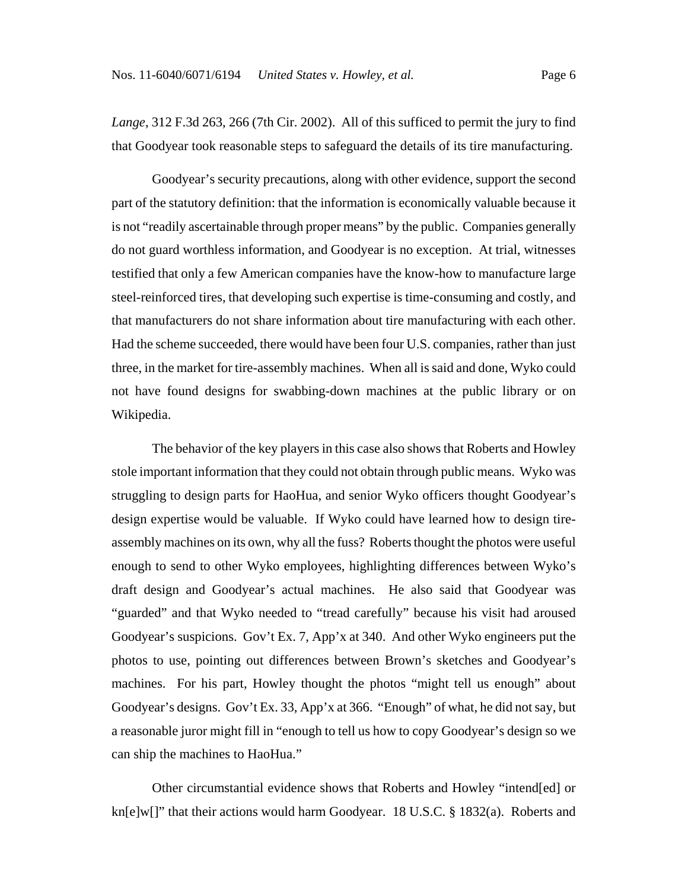*Lange*, 312 F.3d 263, 266 (7th Cir. 2002). All of this sufficed to permit the jury to find that Goodyear took reasonable steps to safeguard the details of its tire manufacturing.

Goodyear's security precautions, along with other evidence, support the second part of the statutory definition: that the information is economically valuable because it is not "readily ascertainable through proper means" by the public. Companies generally do not guard worthless information, and Goodyear is no exception. At trial, witnesses testified that only a few American companies have the know-how to manufacture large steel-reinforced tires, that developing such expertise is time-consuming and costly, and that manufacturers do not share information about tire manufacturing with each other. Had the scheme succeeded, there would have been four U.S. companies, rather than just three, in the market for tire-assembly machines. When all is said and done, Wyko could not have found designs for swabbing-down machines at the public library or on Wikipedia.

The behavior of the key players in this case also shows that Roberts and Howley stole important information that they could not obtain through public means. Wyko was struggling to design parts for HaoHua, and senior Wyko officers thought Goodyear's design expertise would be valuable. If Wyko could have learned how to design tireassembly machines on its own, why all the fuss? Roberts thought the photos were useful enough to send to other Wyko employees, highlighting differences between Wyko's draft design and Goodyear's actual machines. He also said that Goodyear was "guarded" and that Wyko needed to "tread carefully" because his visit had aroused Goodyear's suspicions. Gov't Ex. 7, App'x at 340. And other Wyko engineers put the photos to use, pointing out differences between Brown's sketches and Goodyear's machines. For his part, Howley thought the photos "might tell us enough" about Goodyear's designs. Gov't Ex. 33, App'x at 366. "Enough" of what, he did not say, but a reasonable juror might fill in "enough to tell us how to copy Goodyear's design so we can ship the machines to HaoHua."

Other circumstantial evidence shows that Roberts and Howley "intend[ed] or kn[e]w[]" that their actions would harm Goodyear. 18 U.S.C. § 1832(a). Roberts and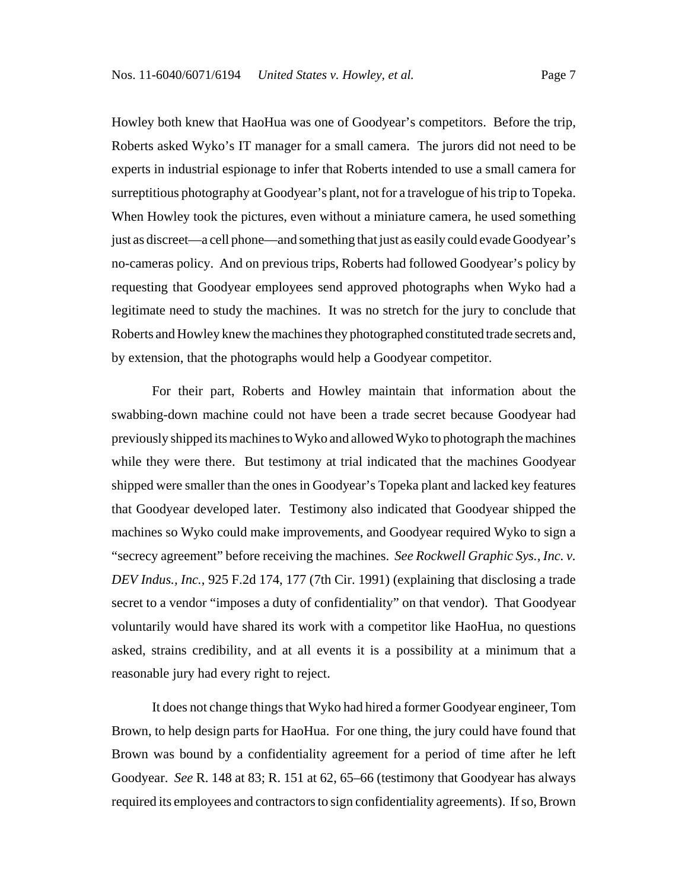Howley both knew that HaoHua was one of Goodyear's competitors. Before the trip, Roberts asked Wyko's IT manager for a small camera. The jurors did not need to be experts in industrial espionage to infer that Roberts intended to use a small camera for surreptitious photography at Goodyear's plant, not for a travelogue of his trip to Topeka. When Howley took the pictures, even without a miniature camera, he used something just as discreet—a cell phone—and something that just as easily could evade Goodyear's no-cameras policy. And on previous trips, Roberts had followed Goodyear's policy by requesting that Goodyear employees send approved photographs when Wyko had a legitimate need to study the machines. It was no stretch for the jury to conclude that Roberts and Howley knew the machines they photographed constituted trade secrets and, by extension, that the photographs would help a Goodyear competitor.

For their part, Roberts and Howley maintain that information about the swabbing-down machine could not have been a trade secret because Goodyear had previously shipped its machines to Wyko and allowed Wyko to photograph the machines while they were there. But testimony at trial indicated that the machines Goodyear shipped were smaller than the ones in Goodyear's Topeka plant and lacked key features that Goodyear developed later. Testimony also indicated that Goodyear shipped the machines so Wyko could make improvements, and Goodyear required Wyko to sign a "secrecy agreement" before receiving the machines. *See Rockwell Graphic Sys., Inc. v. DEV Indus., Inc.*, 925 F.2d 174, 177 (7th Cir. 1991) (explaining that disclosing a trade secret to a vendor "imposes a duty of confidentiality" on that vendor). That Goodyear voluntarily would have shared its work with a competitor like HaoHua, no questions asked, strains credibility, and at all events it is a possibility at a minimum that a reasonable jury had every right to reject.

It does not change things that Wyko had hired a former Goodyear engineer, Tom Brown, to help design parts for HaoHua. For one thing, the jury could have found that Brown was bound by a confidentiality agreement for a period of time after he left Goodyear. *See* R. 148 at 83; R. 151 at 62, 65–66 (testimony that Goodyear has always required its employees and contractors to sign confidentiality agreements). If so, Brown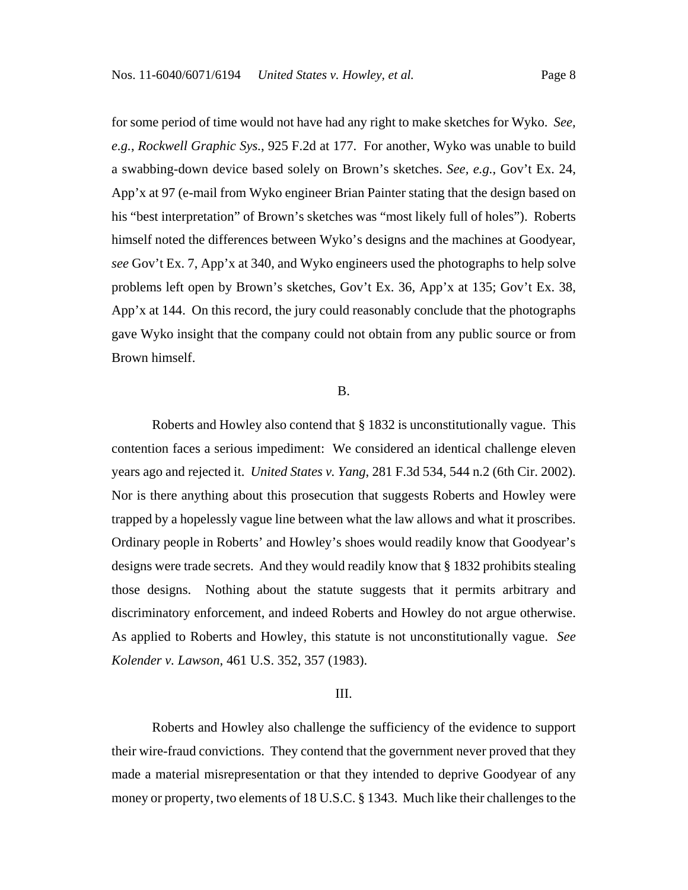for some period of time would not have had any right to make sketches for Wyko. *See, e.g.*, *Rockwell Graphic Sys.*, 925 F.2d at 177. For another, Wyko was unable to build a swabbing-down device based solely on Brown's sketches. *See, e.g.*, Gov't Ex. 24, App'x at 97 (e-mail from Wyko engineer Brian Painter stating that the design based on his "best interpretation" of Brown's sketches was "most likely full of holes"). Roberts himself noted the differences between Wyko's designs and the machines at Goodyear, *see* Gov't Ex. 7, App'x at 340, and Wyko engineers used the photographs to help solve problems left open by Brown's sketches, Gov't Ex. 36, App'x at 135; Gov't Ex. 38, App'x at 144. On this record, the jury could reasonably conclude that the photographs gave Wyko insight that the company could not obtain from any public source or from Brown himself.

### B.

Roberts and Howley also contend that § 1832 is unconstitutionally vague. This contention faces a serious impediment: We considered an identical challenge eleven years ago and rejected it. *United States v. Yang*, 281 F.3d 534, 544 n.2 (6th Cir. 2002). Nor is there anything about this prosecution that suggests Roberts and Howley were trapped by a hopelessly vague line between what the law allows and what it proscribes. Ordinary people in Roberts' and Howley's shoes would readily know that Goodyear's designs were trade secrets. And they would readily know that § 1832 prohibits stealing those designs. Nothing about the statute suggests that it permits arbitrary and discriminatory enforcement, and indeed Roberts and Howley do not argue otherwise. As applied to Roberts and Howley, this statute is not unconstitutionally vague. *See Kolender v. Lawson*, 461 U.S. 352, 357 (1983).

#### III.

Roberts and Howley also challenge the sufficiency of the evidence to support their wire-fraud convictions. They contend that the government never proved that they made a material misrepresentation or that they intended to deprive Goodyear of any money or property, two elements of 18 U.S.C. § 1343. Much like their challenges to the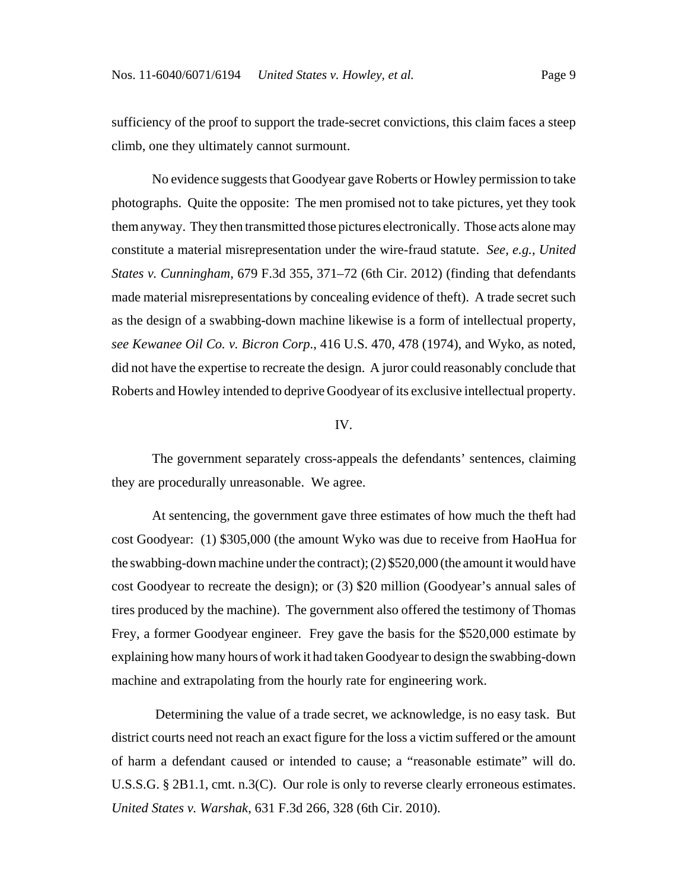sufficiency of the proof to support the trade-secret convictions, this claim faces a steep climb, one they ultimately cannot surmount.

No evidence suggests that Goodyear gave Roberts or Howley permission to take photographs. Quite the opposite: The men promised not to take pictures, yet they took them anyway. They then transmitted those pictures electronically. Those acts alone may constitute a material misrepresentation under the wire-fraud statute. *See, e.g.*, *United States v. Cunningham*, 679 F.3d 355, 371–72 (6th Cir. 2012) (finding that defendants made material misrepresentations by concealing evidence of theft). A trade secret such as the design of a swabbing-down machine likewise is a form of intellectual property, *see Kewanee Oil Co. v. Bicron Corp*., 416 U.S. 470, 478 (1974), and Wyko, as noted, did not have the expertise to recreate the design. A juror could reasonably conclude that Roberts and Howley intended to deprive Goodyear of its exclusive intellectual property.

#### IV.

The government separately cross-appeals the defendants' sentences, claiming they are procedurally unreasonable. We agree.

At sentencing, the government gave three estimates of how much the theft had cost Goodyear: (1) \$305,000 (the amount Wyko was due to receive from HaoHua for the swabbing-down machine under the contract); (2) \$520,000 (the amount it would have cost Goodyear to recreate the design); or (3) \$20 million (Goodyear's annual sales of tires produced by the machine). The government also offered the testimony of Thomas Frey, a former Goodyear engineer. Frey gave the basis for the \$520,000 estimate by explaining how many hours of work it had taken Goodyear to design the swabbing-down machine and extrapolating from the hourly rate for engineering work.

 Determining the value of a trade secret, we acknowledge, is no easy task. But district courts need not reach an exact figure for the loss a victim suffered or the amount of harm a defendant caused or intended to cause; a "reasonable estimate" will do. U.S.S.G. § 2B1.1, cmt. n.3(C). Our role is only to reverse clearly erroneous estimates. *United States v. Warshak*, 631 F.3d 266, 328 (6th Cir. 2010).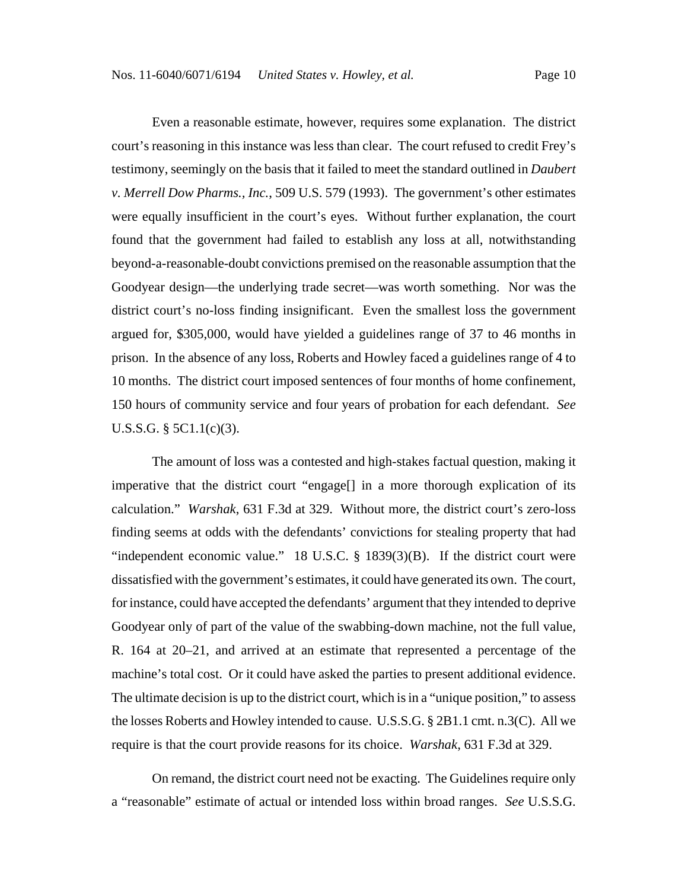Even a reasonable estimate, however, requires some explanation. The district court's reasoning in this instance was less than clear. The court refused to credit Frey's testimony, seemingly on the basis that it failed to meet the standard outlined in *Daubert v. Merrell Dow Pharms., Inc.*, 509 U.S. 579 (1993). The government's other estimates were equally insufficient in the court's eyes. Without further explanation, the court found that the government had failed to establish any loss at all, notwithstanding beyond-a-reasonable-doubt convictions premised on the reasonable assumption that the Goodyear design—the underlying trade secret—was worth something. Nor was the district court's no-loss finding insignificant. Even the smallest loss the government argued for, \$305,000, would have yielded a guidelines range of 37 to 46 months in prison. In the absence of any loss, Roberts and Howley faced a guidelines range of 4 to 10 months. The district court imposed sentences of four months of home confinement, 150 hours of community service and four years of probation for each defendant. *See* U.S.S.G. § 5C1.1(c)(3).

The amount of loss was a contested and high-stakes factual question, making it imperative that the district court "engage[] in a more thorough explication of its calculation." *Warshak*, 631 F.3d at 329. Without more, the district court's zero-loss finding seems at odds with the defendants' convictions for stealing property that had "independent economic value." 18 U.S.C. § 1839(3)(B). If the district court were dissatisfied with the government's estimates, it could have generated its own. The court, for instance, could have accepted the defendants' argument that they intended to deprive Goodyear only of part of the value of the swabbing-down machine, not the full value, R. 164 at 20–21, and arrived at an estimate that represented a percentage of the machine's total cost. Or it could have asked the parties to present additional evidence. The ultimate decision is up to the district court, which is in a "unique position," to assess the losses Roberts and Howley intended to cause. U.S.S.G. § 2B1.1 cmt. n.3(C). All we require is that the court provide reasons for its choice. *Warshak*, 631 F.3d at 329.

On remand, the district court need not be exacting. The Guidelines require only a "reasonable" estimate of actual or intended loss within broad ranges. *See* U.S.S.G.